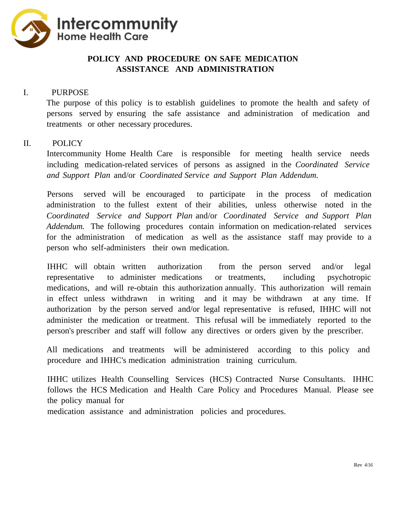

## **POLICY AND PROCEDURE ON SAFE MEDICATION ASSISTANCE AND ADMINISTRATION**

## I. PURPOSE

The purpose of this policy is to establish guidelines to promote the health and safety of persons served by ensuring the safe assistance and administration of medication and treatments or other necessary procedures.

## II. POLICY

Intercommunity Home Health Care is responsible for meeting health service needs including medication-related services of persons as assigned in the *Coordinated Service and Support Plan* and/or *Coordinated Service and Support Plan Addendum.*

Persons served will be encouraged to participate in the process of medication administration to the fullest extent of their abilities, unless otherwise noted in the *Coordinated Service and Support Plan* and/or *Coordinated Service and Support Plan Addendum.* The following procedures contain information on medication-related services for the administration of medication as well as the assistance staff may provide to a person who self-administers their own medication.

IHHC will obtain written authorization from the person served and/or legal representative to administer medications or treatments, including psychotropic medications, and will re-obtain this authorization annually. This authorization will remain in effect unless withdrawn in writing and it may be withdrawn at any time. If authorization by the person served and/or legal representative is refused, IHHC will not administer the medication or treatment. This refusal will be immediately reported to the person's prescriber and staff will follow any directives or orders given by the prescriber.

All medications and treatments will be administered according to this policy and procedure and IHHC's medication administration training curriculum.

IHHC utilizes Health Counselling Services (HCS) Contracted Nurse Consultants. IHHC follows the HCS Medication and Health Care Policy and Procedures Manual. Please see the policy manual for

medication assistance and administration policies and procedures.